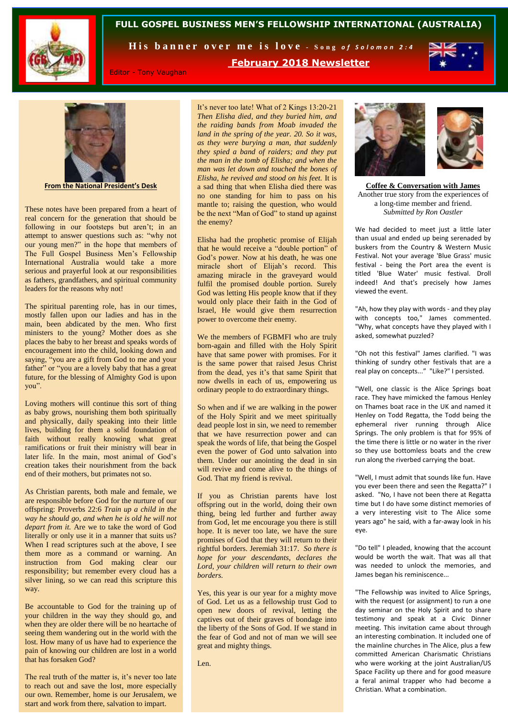



His banner over me is love - Song of Solomon 2:4

**February 2018 Newsletter**



Editor - Tony Vaughan

**From the National President's Desk**

These notes have been prepared from a heart of real concern for the generation that should be following in our footsteps but aren't; in an attempt to answer questions such as: "why not our young men?" in the hope that members of The Full Gospel Business Men's Fellowship International Australia would take a more serious and prayerful look at our responsibilities as fathers, grandfathers, and spiritual community leaders for the reasons why not!

The spiritual parenting role, has in our times, mostly fallen upon our ladies and has in the main, been abdicated by the men. Who first ministers to the young? Mother does as she places the baby to her breast and speaks words of encouragement into the child, looking down and saying, "you are a gift from God to me and your father" or "you are a lovely baby that has a great future, for the blessing of Almighty God is upon you".

Loving mothers will continue this sort of thing as baby grows, nourishing them both spiritually and physically, daily speaking into their little lives, building for them a solid foundation of faith without really knowing what great ramifications or fruit their ministry will bear in later life. In the main, most animal of God's creation takes their nourishment from the back end of their mothers, but primates not so.

As Christian parents, both male and female, we are responsible before God for the nurture of our offspring: Proverbs 22:6 *Train up a child in the way he should go, and when he is old he will not depart from it.* Are we to take the word of God literally or only use it in a manner that suits us? When I read scriptures such at the above, I see them more as a command or warning. An instruction from God making clear our responsibility; but remember every cloud has a silver lining, so we can read this scripture this way.

Be accountable to God for the training up of your children in the way they should go, and when they are older there will be no heartache of seeing them wandering out in the world with the lost. How many of us have had to experience the pain of knowing our children are lost in a world that has forsaken God?

The real truth of the matter is, it's never too late to reach out and save the lost, more especially our own. Remember, home is our Jerusalem, we start and work from there, salvation to impart.

It's never too late! What of 2 Kings 13:20-21 *Then Elisha died, and they buried him, and the raiding bands from Moab invaded the land in the spring of the year. 20. So it was, as they were burying a man, that suddenly they spied a band of raiders; and they put the man in the tomb of Elisha; and when the man was let down and touched the bones of Elisha, he revived and stood on his feet.* It is a sad thing that when Elisha died there was no one standing for him to pass on his mantle to; raising the question, who would be the next "Man of God" to stand up against the enemy?

Elisha had the prophetic promise of Elijah that he would receive a "double portion" of God's power. Now at his death, he was one miracle short of Elijah's record. This amazing miracle in the graveyard would fulfil the promised double portion. Surely God was letting His people know that if they would only place their faith in the God of Israel, He would give them resurrection power to overcome their enemy.

We the members of FGBMFI who are truly born-again and filled with the Holy Spirit have that same power with promises. For it is the same power that raised Jesus Christ from the dead, yes it's that same Spirit that now dwells in each of us, empowering us ordinary people to do extraordinary things.

So when and if we are walking in the power of the Holy Spirit and we meet spiritually dead people lost in sin, we need to remember that we have resurrection power and can speak the words of life, that being the Gospel even the power of God unto salvation into them. Under our anointing the dead in sin will revive and come alive to the things of God. That my friend is revival.

If you as Christian parents have lost offspring out in the world, doing their own thing, being led further and further away from God, let me encourage you there is still hope. It is never too late, we have the sure promises of God that they will return to their rightful borders. Jeremiah 31:17. *So there is hope for your descendants, declares the Lord, your children will return to their own borders.* 

Yes, this year is our year for a mighty move of God. Let us as a fellowship trust God to open new doors of revival, letting the captives out of their graves of bondage into the liberty of the Sons of God. If we stand in the fear of God and not of man we will see great and mighty things.

Len.



**Coffee & Conversation with James** Another true story from the experiences of a long-time member and friend. *Submitted by Ron Oastler*

We had decided to meet just a little later than usual and ended up being serenaded by buskers from the Country & Western Music Festival. Not your average 'Blue Grass' music festival - being the Port area the event is titled 'Blue Water' music festival. Droll indeed! And that's precisely how James viewed the event.

"Ah, how they play with words - and they play with concepts too," James commented. "Why, what concepts have they played with I asked, somewhat puzzled?

"Oh not this festival" James clarified. "I was thinking of sundry other festivals that are a real play on concepts..." "Like?" I persisted.

"Well, one classic is the Alice Springs boat race. They have mimicked the famous Henley on Thames boat race in the UK and named it Henley on Todd Regatta, the Todd being the ephemeral river running through Alice Springs. The only problem is that for 95% of the time there is little or no water in the river so they use bottomless boats and the crew run along the riverbed carrying the boat.

"Well, I must admit that sounds like fun. Have you ever been there and seen the Regatta?" I asked. "No, I have not been there at Regatta time but I do have some distinct memories of a very interesting visit to The Alice some years ago" he said, with a far-away look in his eye.

"Do tell" I pleaded, knowing that the account would be worth the wait. That was all that was needed to unlock the memories, and James began his reminiscence...

"The Fellowship was invited to Alice Springs, with the request (or assignment) to run a one day seminar on the Holy Spirit and to share testimony and speak at a Civic Dinner meeting. This invitation came about through an interesting combination. It included one of the mainline churches in The Alice, plus a few committed American Charismatic Christians who were working at the joint Australian/US Space Facility up there and for good measure a feral animal trapper who had become a Christian. What a combination.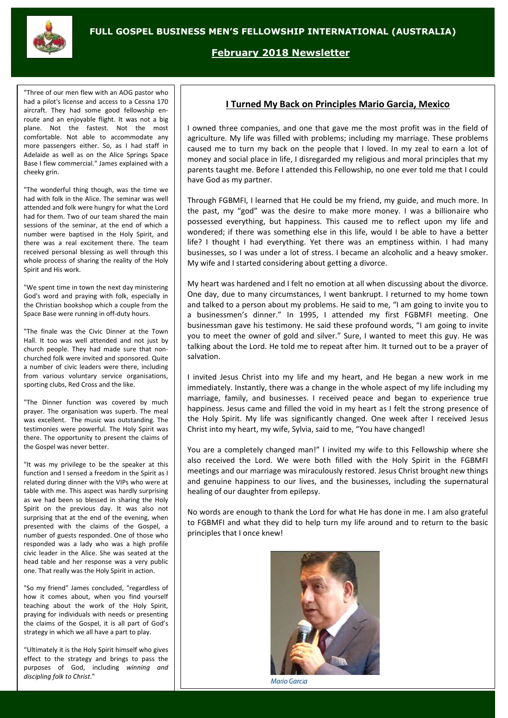

**February 2018 Newsletter**

"Three of our men flew with an AOG pastor who had a pilot's license and access to a Cessna 170 aircraft. They had some good fellowship enroute and an enjoyable flight. It was not a big plane. Not the fastest. Not the most comfortable. Not able to accommodate any more passengers either. So, as I had staff in Adelaide as well as on the Alice Springs Space Base I flew commercial." James explained with a cheeky grin.

"The wonderful thing though, was the time we had with folk in the Alice. The seminar was well attended and folk were hungry for what the Lord had for them. Two of our team shared the main sessions of the seminar, at the end of which a number were baptised in the Holy Spirit, and there was a real excitement there. The team received personal blessing as well through this whole process of sharing the reality of the Holy Spirit and His work.

"We spent time in town the next day ministering God's word and praying with folk, especially in the Christian bookshop which a couple from the Space Base were running in off-duty hours.

"The finale was the Civic Dinner at the Town Hall. It too was well attended and not just by church people. They had made sure that nonchurched folk were invited and sponsored. Quite a number of civic leaders were there, including from various voluntary service organisations, sporting clubs, Red Cross and the like.

"The Dinner function was covered by much prayer. The organisation was superb. The meal was excellent. The music was outstanding. The testimonies were powerful. The Holy Spirit was there. The opportunity to present the claims of the Gospel was never better.

"It was my privilege to be the speaker at this function and I sensed a freedom in the Spirit as I related during dinner with the VIPs who were at table with me. This aspect was hardly surprising as we had been so blessed in sharing the Holy Spirit on the previous day. It was also not surprising that at the end of the evening, when presented with the claims of the Gospel, a number of guests responded. One of those who responded was a lady who was a high profile civic leader in the Alice. She was seated at the head table and her response was a very public one. That really was the Holy Spirit in action.

"So my friend" James concluded, "regardless of how it comes about, when you find yourself teaching about the work of the Holy Spirit, praying for individuals with needs or presenting the claims of the Gospel, it is all part of God's strategy in which we all have a part to play.

"Ultimately it is the Holy Spirit himself who gives effect to the strategy and brings to pass the purposes of God, including *winning and discipling folk to Christ*."

# **I Turned My Back on Principles Mario Garcia, Mexico**

I owned three companies, and one that gave me the most profit was in the field of agriculture. My life was filled with problems; including my marriage. These problems caused me to turn my back on the people that I loved. In my zeal to earn a lot of money and social place in life, I disregarded my religious and moral principles that my parents taught me. Before I attended this Fellowship, no one ever told me that I could have God as my partner.

Through FGBMFI, I learned that He could be my friend, my guide, and much more. In the past, my "god" was the desire to make more money. I was a billionaire who possessed everything, but happiness. This caused me to reflect upon my life and wondered; if there was something else in this life, would I be able to have a better life? I thought I had everything. Yet there was an emptiness within. I had many businesses, so I was under a lot of stress. I became an alcoholic and a heavy smoker. My wife and I started considering about getting a divorce.

My heart was hardened and I felt no emotion at all when discussing about the divorce. One day, due to many circumstances, I went bankrupt. I returned to my home town and talked to a person about my problems. He said to me, "I am going to invite you to a businessmen's dinner." In 1995, I attended my first FGBMFI meeting. One businessman gave his testimony. He said these profound words, "I am going to invite you to meet the owner of gold and silver." Sure, I wanted to meet this guy. He was talking about the Lord. He told me to repeat after him. It turned out to be a prayer of salvation.

I invited Jesus Christ into my life and my heart, and He began a new work in me immediately. Instantly, there was a change in the whole aspect of my life including my marriage, family, and businesses. I received peace and began to experience true happiness. Jesus came and filled the void in my heart as I felt the strong presence of the Holy Spirit. My life was significantly changed. One week after I received Jesus Christ into my heart, my wife, Sylvia, said to me, "You have changed!

You are a completely changed man!" I invited my wife to this Fellowship where she also received the Lord. We were both filled with the Holy Spirit in the FGBMFI meetings and our marriage was miraculously restored. Jesus Christ brought new things and genuine happiness to our lives, and the businesses, including the supernatural healing of our daughter from epilepsy.

No words are enough to thank the Lord for what He has done in me. I am also grateful to FGBMFI and what they did to help turn my life around and to return to the basic principles that I once knew!



Mario Garcia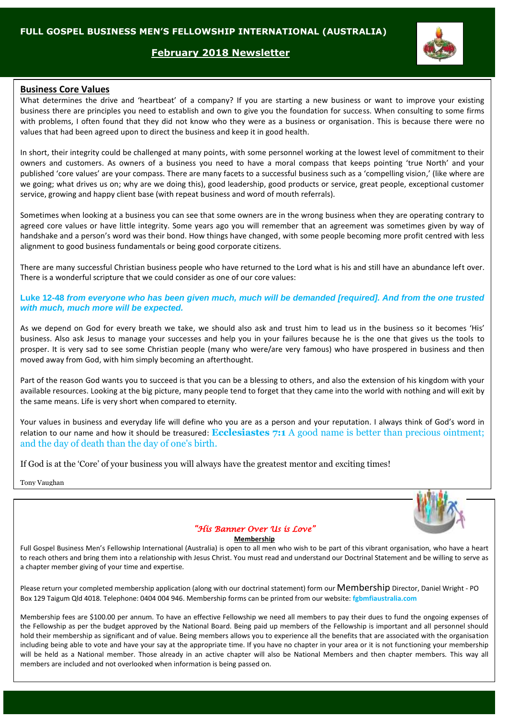### **February 2018 Newsletter**



### **Business Core Values**

What determines the drive and 'heartbeat' of a company? If you are starting a new business or want to improve your existing business there are principles you need to establish and own to give you the foundation for success. When consulting to some firms with problems, I often found that they did not know who they were as a business or organisation. This is because there were no values that had been agreed upon to direct the business and keep it in good health.

In short, their integrity could be challenged at many points, with some personnel working at the lowest level of commitment to their owners and customers. As owners of a business you need to have a moral compass that keeps pointing 'true North' and your published 'core values' are your compass. There are many facets to a successful business such as a 'compelling vision,' (like where are we going; what drives us on; why are we doing this), good leadership, good products or service, great people, exceptional customer service, growing and happy client base (with repeat business and word of mouth referrals).

Sometimes when looking at a business you can see that some owners are in the wrong business when they are operating contrary to agreed core values or have little integrity. Some years ago you will remember that an agreement was sometimes given by way of handshake and a person's word was their bond. How things have changed, with some people becoming more profit centred with less alignment to good business fundamentals or being good corporate citizens.

There are many successful Christian business people who have returned to the Lord what is his and still have an abundance left over. There is a wonderful scripture that we could consider as one of our core values:

#### **Luke 12-48** *from everyone who has been given much, much will be demanded [required]. And from the one trusted with much, much more will be expected.*

As we depend on God for every breath we take, we should also ask and trust him to lead us in the business so it becomes 'His' business. Also ask Jesus to manage your successes and help you in your failures because he is the one that gives us the tools to prosper. It is very sad to see some Christian people (many who were/are very famous) who have prospered in business and then moved away from God, with him simply becoming an afterthought.

Part of the reason God wants you to succeed is that you can be a blessing to others, and also the extension of his kingdom with your available resources. Looking at the big picture, many people tend to forget that they came into the world with nothing and will exit by the same means. Life is very short when compared to eternity.

Your values in business and everyday life will define who you are as a person and your reputation. I always think of God's word in relation to our name and how it should be treasured: **Ecclesiastes 7:1** A good name is better than precious ointment; and the day of death than the day of one's birth.

If God is at the 'Core' of your business you will always have the greatest mentor and exciting times!

Tony Vaughan



### *"His Banner Over Us is Love"*

#### **Membership**

Full Gospel Business Men's Fellowship International (Australia) is open to all men who wish to be part of this vibrant organisation, who have a heart to reach others and bring them into a relationship with Jesus Christ. You must read and understand our Doctrinal Statement and be willing to serve as a chapter member giving of your time and expertise.

Please return your completed membership application (along with our doctrinal statement) form our Membership Director, Daniel Wright - PO Box 129 Taigum Qld 4018. Telephone: 0404 004 946. Membership forms can be printed from our website: **fgbmfiaustralia.com**

Membership fees are \$100.00 per annum. To have an effective Fellowship we need all members to pay their dues to fund the ongoing expenses of the Fellowship as per the budget approved by the National Board. Being paid up members of the Fellowship is important and all personnel should hold their membership as significant and of value. Being members allows you to experience all the benefits that are associated with the organisation including being able to vote and have your say at the appropriate time. If you have no chapter in your area or it is not functioning your membership will be held as a National member. Those already in an active chapter will also be National Members and then chapter members. This way all members are included and not overlooked when information is being passed on.